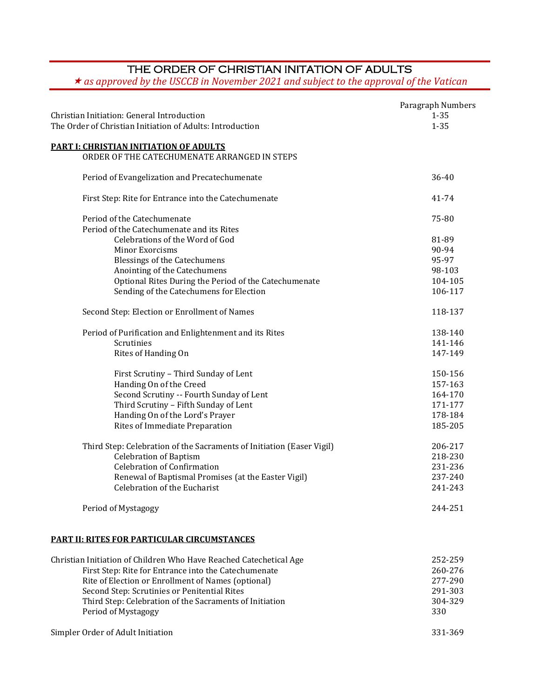## THE ORDER OF CHRISTIAN INITATION OF ADULTS

*as approved by the USCCB in November 2021 and subject to the approval of the Vatican*

| Christian Initiation: General Introduction<br>The Order of Christian Initiation of Adults: Introduction | Paragraph Numbers<br>$1 - 35$<br>$1 - 35$ |
|---------------------------------------------------------------------------------------------------------|-------------------------------------------|
| <b>PART I: CHRISTIAN INITIATION OF ADULTS</b>                                                           |                                           |
| ORDER OF THE CATECHUMENATE ARRANGED IN STEPS                                                            |                                           |
| Period of Evangelization and Precatechumenate                                                           | $36 - 40$                                 |
| First Step: Rite for Entrance into the Catechumenate                                                    | 41-74                                     |
| Period of the Catechumenate<br>Period of the Catechumenate and its Rites                                | 75-80                                     |
| Celebrations of the Word of God                                                                         | 81-89                                     |
| <b>Minor Exorcisms</b>                                                                                  | 90-94                                     |
| <b>Blessings of the Catechumens</b>                                                                     | 95-97                                     |
| Anointing of the Catechumens                                                                            | 98-103                                    |
| Optional Rites During the Period of the Catechumenate                                                   | 104-105                                   |
| Sending of the Catechumens for Election                                                                 | 106-117                                   |
| Second Step: Election or Enrollment of Names                                                            | 118-137                                   |
| Period of Purification and Enlightenment and its Rites                                                  | 138-140                                   |
| Scrutinies                                                                                              | 141-146                                   |
| Rites of Handing On                                                                                     | 147-149                                   |
| First Scrutiny - Third Sunday of Lent                                                                   | 150-156                                   |
| Handing On of the Creed                                                                                 | 157-163                                   |
| Second Scrutiny -- Fourth Sunday of Lent                                                                | 164-170                                   |
| Third Scrutiny - Fifth Sunday of Lent                                                                   | 171-177                                   |
| Handing On of the Lord's Prayer                                                                         | 178-184                                   |
| Rites of Immediate Preparation                                                                          | 185-205                                   |
| Third Step: Celebration of the Sacraments of Initiation (Easer Vigil)                                   | 206-217                                   |
| <b>Celebration of Baptism</b>                                                                           | 218-230                                   |
| <b>Celebration of Confirmation</b>                                                                      | 231-236                                   |
| Renewal of Baptismal Promises (at the Easter Vigil)                                                     | 237-240                                   |
| Celebration of the Eucharist                                                                            | 241-243                                   |
| Period of Mystagogy                                                                                     | 244-251                                   |
| <b>PART II: RITES FOR PARTICULAR CIRCUMSTANCES</b>                                                      |                                           |
| Christian Initiation of Children Who Have Boashad Catashatical Ag                                       | מחר ברפ                                   |

| Christian Initiation of Children Who Have Reached Catechetical Age | 252-259 |
|--------------------------------------------------------------------|---------|
| First Step: Rite for Entrance into the Catechumenate               | 260-276 |
| Rite of Election or Enrollment of Names (optional)                 | 277-290 |
| Second Step: Scrutinies or Penitential Rites                       | 291-303 |
| Third Step: Celebration of the Sacraments of Initiation            | 304-329 |
| Period of Mystagogy                                                | 330     |
|                                                                    |         |

Simpler Order of Adult Initiation 331-369